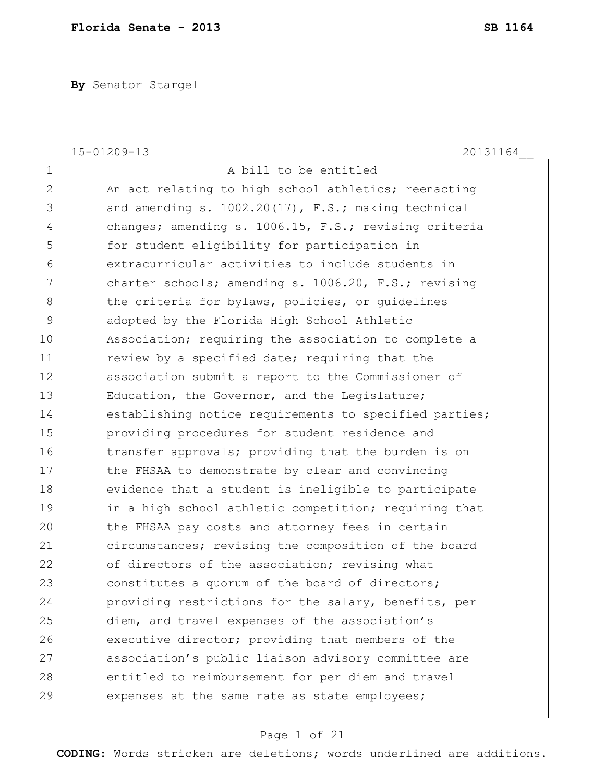**By** Senator Stargel

|               | 15-01209-13<br>20131164                                |
|---------------|--------------------------------------------------------|
| $\mathbf 1$   | A bill to be entitled                                  |
| 2             | An act relating to high school athletics; reenacting   |
| 3             | and amending s. $1002.20(17)$ , F.S.; making technical |
| 4             | changes; amending s. 1006.15, F.S.; revising criteria  |
| 5             | for student eligibility for participation in           |
| 6             | extracurricular activities to include students in      |
| 7             | charter schools; amending s. 1006.20, F.S.; revising   |
| 8             | the criteria for bylaws, policies, or guidelines       |
| $\mathcal{G}$ | adopted by the Florida High School Athletic            |
| 10            | Association; requiring the association to complete a   |
| 11            | review by a specified date; requiring that the         |
| 12            | association submit a report to the Commissioner of     |
| 13            | Education, the Governor, and the Legislature;          |
| 14            | establishing notice requirements to specified parties; |
| 15            | providing procedures for student residence and         |
| 16            | transfer approvals; providing that the burden is on    |
| 17            | the FHSAA to demonstrate by clear and convincing       |
| 18            | evidence that a student is ineligible to participate   |
| 19            | in a high school athletic competition; requiring that  |
| 20            | the FHSAA pay costs and attorney fees in certain       |
| 21            | circumstances; revising the composition of the board   |
| 22            | of directors of the association; revising what         |
| 23            | constitutes a quorum of the board of directors;        |
| 24            | providing restrictions for the salary, benefits, per   |
| 25            | diem, and travel expenses of the association's         |
| 26            | executive director; providing that members of the      |
| 27            | association's public liaison advisory committee are    |
| 28            | entitled to reimbursement for per diem and travel      |
| 29            | expenses at the same rate as state employees;          |
|               |                                                        |

# Page 1 of 21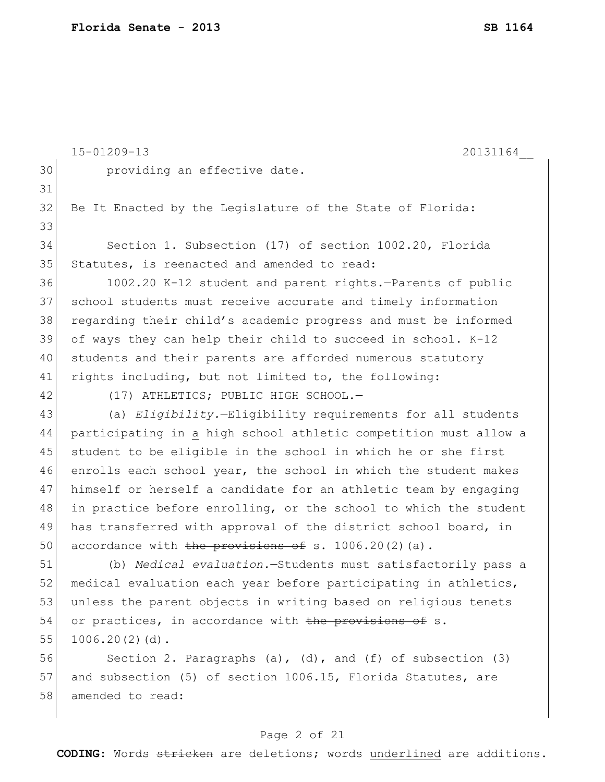|    | 15-01209-13<br>20131164                                             |
|----|---------------------------------------------------------------------|
| 30 | providing an effective date.                                        |
| 31 |                                                                     |
| 32 | Be It Enacted by the Legislature of the State of Florida:           |
| 33 |                                                                     |
| 34 | Section 1. Subsection (17) of section 1002.20, Florida              |
| 35 | Statutes, is reenacted and amended to read:                         |
| 36 | 1002.20 K-12 student and parent rights.-Parents of public           |
| 37 | school students must receive accurate and timely information        |
| 38 | regarding their child's academic progress and must be informed      |
| 39 | of ways they can help their child to succeed in school. K-12        |
| 40 | students and their parents are afforded numerous statutory          |
| 41 | rights including, but not limited to, the following:                |
| 42 | (17) ATHLETICS; PUBLIC HIGH SCHOOL.-                                |
| 43 | (a) Eligibility.-Eligibility requirements for all students          |
| 44 | participating in a high school athletic competition must allow a    |
| 45 | student to be eligible in the school in which he or she first       |
| 46 | enrolls each school year, the school in which the student makes     |
| 47 | himself or herself a candidate for an athletic team by engaging     |
| 48 | in practice before enrolling, or the school to which the student    |
| 49 | has transferred with approval of the district school board, in      |
| 50 | accordance with the provisions of s. $1006.20(2)(a)$ .              |
| 51 | (b) Medical evaluation.-Students must satisfactorily pass a         |
| 52 | medical evaluation each year before participating in athletics,     |
| 53 | unless the parent objects in writing based on religious tenets      |
| 54 | or practices, in accordance with the provisions of s.               |
| 55 | $1006.20(2)(d)$ .                                                   |
| 56 | Section 2. Paragraphs $(a)$ , $(d)$ , and $(f)$ of subsection $(3)$ |
| 57 | and subsection (5) of section 1006.15, Florida Statutes, are        |
| 58 | amended to read:                                                    |
|    |                                                                     |

# Page 2 of 21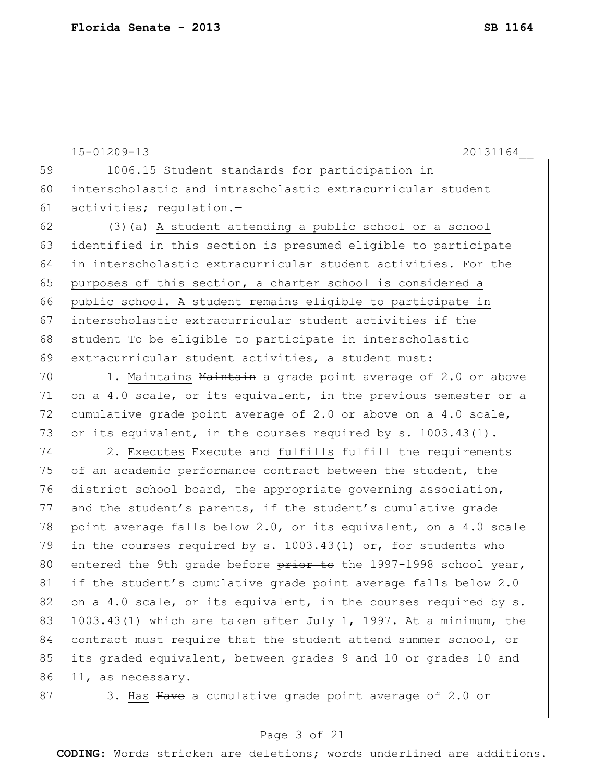|    | $15 - 01209 - 13$<br>20131164                                    |
|----|------------------------------------------------------------------|
| 59 | 1006.15 Student standards for participation in                   |
| 60 | interscholastic and intrascholastic extracurricular student      |
| 61 | activities; regulation.-                                         |
| 62 | (3) (a) A student attending a public school or a school          |
| 63 | identified in this section is presumed eligible to participate   |
| 64 | in interscholastic extracurricular student activities. For the   |
| 65 | purposes of this section, a charter school is considered a       |
| 66 | public school. A student remains eligible to participate in      |
| 67 | interscholastic extracurricular student activities if the        |
| 68 | student To be eligible to participate in interscholastic         |
| 69 | extracurricular student activities, a student must:              |
| 70 | 1. Maintains Maintain a grade point average of 2.0 or above      |
| 71 | on a 4.0 scale, or its equivalent, in the previous semester or a |
| 72 | cumulative grade point average of 2.0 or above on a 4.0 scale,   |
| 73 | or its equivalent, in the courses required by s. 1003.43(1).     |
| 74 | 2. Executes Execute and fulfills fulfill the requirements        |
| 75 | of an academic performance contract between the student, the     |
| 76 | district school board, the appropriate governing association,    |
| 77 | and the student's parents, if the student's cumulative grade     |
| 78 | point average falls below 2.0, or its equivalent, on a 4.0 scale |
| 79 | in the courses required by s. 1003.43(1) or, for students who    |
| 80 | entered the 9th grade before prior to the 1997-1998 school year, |
| 81 | if the student's cumulative grade point average falls below 2.0  |
| 82 | on a 4.0 scale, or its equivalent, in the courses required by s. |
| 83 | 1003.43(1) which are taken after July 1, 1997. At a minimum, the |
| 84 | contract must require that the student attend summer school, or  |
| 85 | its graded equivalent, between grades 9 and 10 or grades 10 and  |
| 86 | 11, as necessary.                                                |
| 87 | 3. Has Have a cumulative grade point average of 2.0 or           |

# Page 3 of 21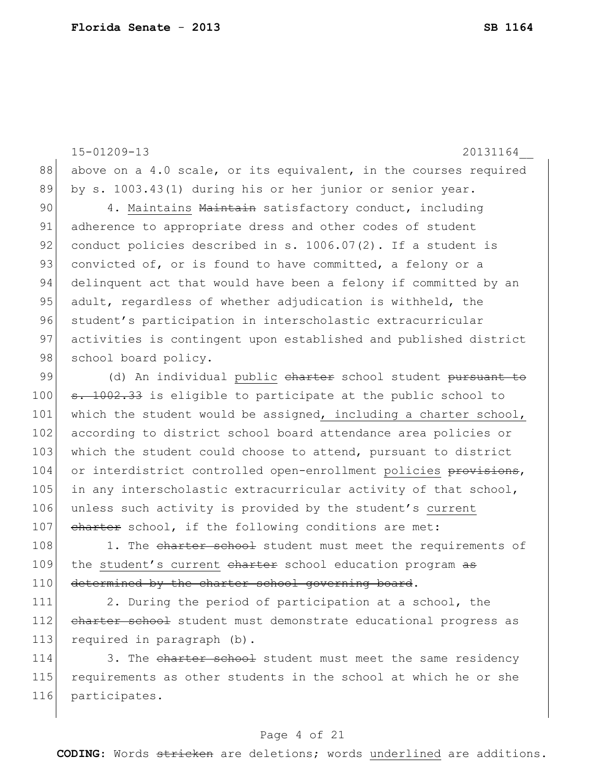15-01209-13 20131164\_\_ 88 above on a 4.0 scale, or its equivalent, in the courses required 89 by s. 1003.43(1) during his or her junior or senior year. 90 4. Maintains Maintain satisfactory conduct, including 91 adherence to appropriate dress and other codes of student 92 conduct policies described in s.  $1006.07(2)$ . If a student is 93 convicted of, or is found to have committed, a felony or a 94 delinquent act that would have been a felony if committed by an 95 adult, regardless of whether adjudication is withheld, the 96 student's participation in interscholastic extracurricular 97 activities is contingent upon established and published district 98 school board policy. 99 (d) An individual public charter school student pursuant to 100 s. 1002.33 is eligible to participate at the public school to 101 which the student would be assigned, including a charter school, 102 according to district school board attendance area policies or 103 which the student could choose to attend, pursuant to district 104 or interdistrict controlled open-enrollment policies provisions, 105 in any interscholastic extracurricular activity of that school, 106 unless such activity is provided by the student's current 107 charter school, if the following conditions are met: 108 1. The charter school student must meet the requirements of

109 the student's current charter school education program as 110 determined by the charter school governing board.

111 2. During the period of participation at a school, the 112 charter school student must demonstrate educational progress as 113 required in paragraph (b).

114 3. The charter school student must meet the same residency 115 requirements as other students in the school at which he or she 116 participates.

### Page 4 of 21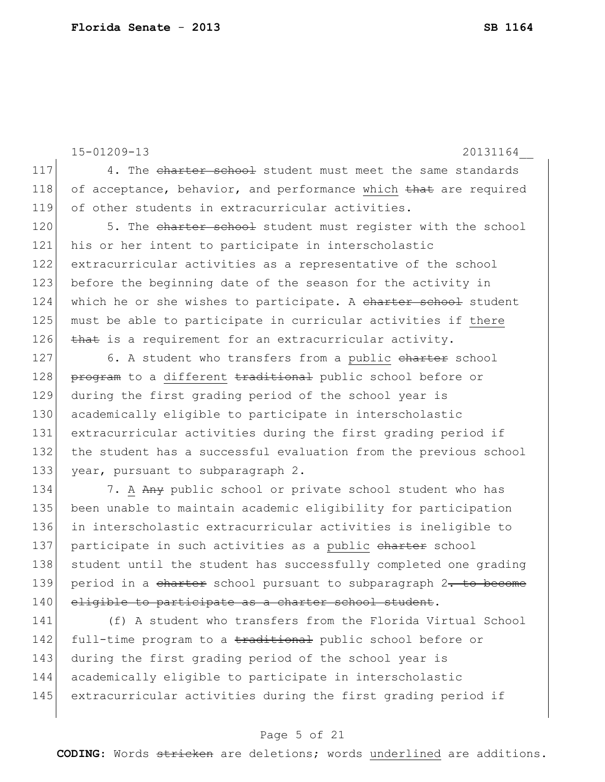15-01209-13 20131164\_\_ 117 4. The charter school student must meet the same standards 118 of acceptance, behavior, and performance which that are required 119 of other students in extracurricular activities. 120 5. The charter school student must register with the school 121 his or her intent to participate in interscholastic 122 extracurricular activities as a representative of the school 123 before the beginning date of the season for the activity in 124 which he or she wishes to participate. A charter school student 125 must be able to participate in curricular activities if there 126 that is a requirement for an extracurricular activity. 127 6. A student who transfers from a public charter school 128 program to a different traditional public school before or 129 during the first grading period of the school year is 130 academically eligible to participate in interscholastic 131 extracurricular activities during the first grading period if 132 the student has a successful evaluation from the previous school 133 year, pursuant to subparagraph 2. 134 7. A Any public school or private school student who has 135 been unable to maintain academic eligibility for participation 136 in interscholastic extracurricular activities is ineligible to 137 participate in such activities as a public charter school 138 student until the student has successfully completed one grading 139 period in a charter school pursuant to subparagraph  $2$ . to become 140 eligible to participate as a charter school student. 141 (f) A student who transfers from the Florida Virtual School

142 full-time program to a traditional public school before or during the first grading period of the school year is academically eligible to participate in interscholastic extracurricular activities during the first grading period if

## Page 5 of 21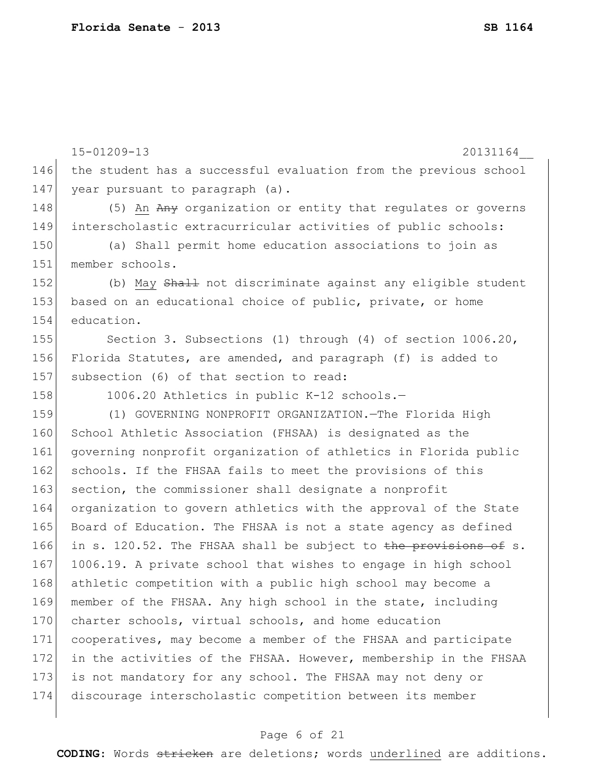|     | 15-01209-13<br>20131164                                          |
|-----|------------------------------------------------------------------|
| 146 | the student has a successful evaluation from the previous school |
| 147 | year pursuant to paragraph (a).                                  |
| 148 | (5) An Any organization or entity that regulates or governs      |
| 149 | interscholastic extracurricular activities of public schools:    |
| 150 | (a) Shall permit home education associations to join as          |
| 151 | member schools.                                                  |
| 152 | (b) May Shall not discriminate against any eligible student      |
| 153 | based on an educational choice of public, private, or home       |
| 154 | education.                                                       |
| 155 | Section 3. Subsections (1) through (4) of section 1006.20,       |
| 156 | Florida Statutes, are amended, and paragraph (f) is added to     |
| 157 | subsection (6) of that section to read:                          |
| 158 | 1006.20 Athletics in public K-12 schools.-                       |
| 159 | (1) GOVERNING NONPROFIT ORGANIZATION. The Florida High           |
| 160 | School Athletic Association (FHSAA) is designated as the         |
| 161 | governing nonprofit organization of athletics in Florida public  |
| 162 | schools. If the FHSAA fails to meet the provisions of this       |
| 163 | section, the commissioner shall designate a nonprofit            |
| 164 | organization to govern athletics with the approval of the State  |
| 165 | Board of Education. The FHSAA is not a state agency as defined   |
| 166 | in s. 120.52. The FHSAA shall be subject to the provisions of s. |
| 167 | 1006.19. A private school that wishes to engage in high school   |
| 168 | athletic competition with a public high school may become a      |
| 169 | member of the FHSAA. Any high school in the state, including     |
| 170 | charter schools, virtual schools, and home education             |
| 171 | cooperatives, may become a member of the FHSAA and participate   |
| 172 | in the activities of the FHSAA. However, membership in the FHSAA |
| 173 | is not mandatory for any school. The FHSAA may not deny or       |
| 174 | discourage interscholastic competition between its member        |
|     |                                                                  |

# Page 6 of 21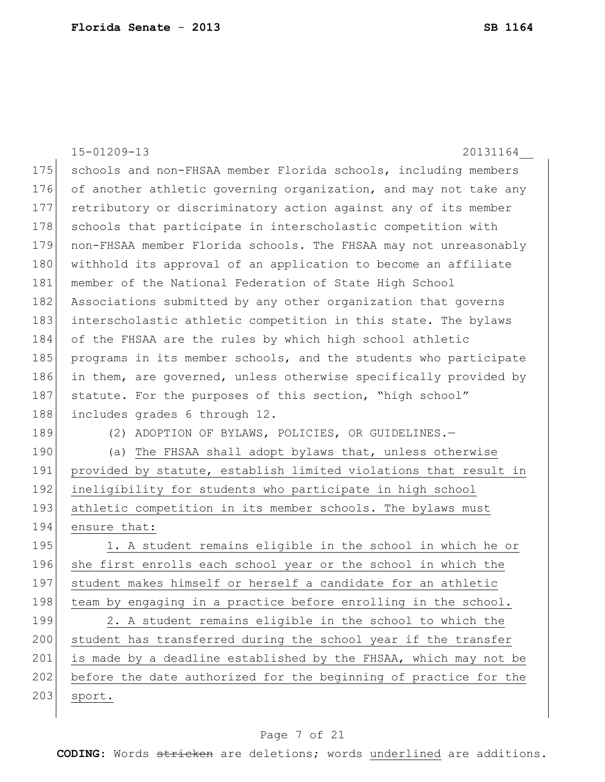|     | $15 - 01209 - 13$<br>20131164                                    |
|-----|------------------------------------------------------------------|
| 175 | schools and non-FHSAA member Florida schools, including members  |
| 176 | of another athletic governing organization, and may not take any |
| 177 | retributory or discriminatory action against any of its member   |
| 178 | schools that participate in interscholastic competition with     |
| 179 | non-FHSAA member Florida schools. The FHSAA may not unreasonably |
| 180 | withhold its approval of an application to become an affiliate   |
| 181 | member of the National Federation of State High School           |
| 182 | Associations submitted by any other organization that governs    |
| 183 | interscholastic athletic competition in this state. The bylaws   |
| 184 | of the FHSAA are the rules by which high school athletic         |
| 185 | programs in its member schools, and the students who participate |
| 186 | in them, are governed, unless otherwise specifically provided by |
| 187 | statute. For the purposes of this section, "high school"         |
| 188 | includes grades 6 through 12.                                    |
| 189 | (2) ADOPTION OF BYLAWS, POLICIES, OR GUIDELINES.-                |
| 190 | (a) The FHSAA shall adopt bylaws that, unless otherwise          |
| 191 | provided by statute, establish limited violations that result in |
| 192 | ineligibility for students who participate in high school        |
| 193 | athletic competition in its member schools. The bylaws must      |
| 194 | ensure that:                                                     |
| 195 | 1. A student remains eligible in the school in which he or       |
| 196 | she first enrolls each school year or the school in which the    |
| 197 | student makes himself or herself a candidate for an athletic     |
| 198 | team by engaging in a practice before enrolling in the school.   |
| 199 | 2. A student remains eligible in the school to which the         |
| 200 | student has transferred during the school year if the transfer   |
| 201 | is made by a deadline established by the FHSAA, which may not be |
| 202 | before the date authorized for the beginning of practice for the |
| 203 | sport.                                                           |
|     |                                                                  |

# Page 7 of 21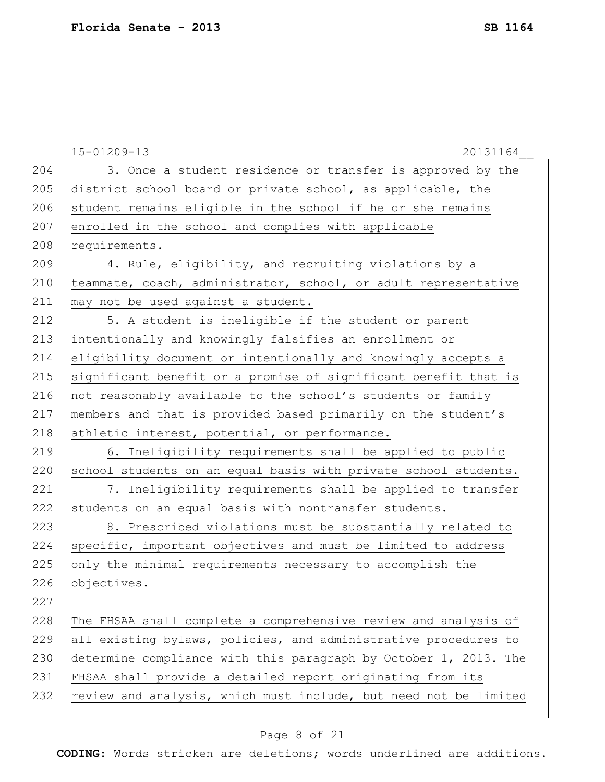|     | $15 - 01209 - 13$<br>20131164                                    |
|-----|------------------------------------------------------------------|
| 204 | 3. Once a student residence or transfer is approved by the       |
| 205 | district school board or private school, as applicable, the      |
| 206 | student remains eligible in the school if he or she remains      |
| 207 | enrolled in the school and complies with applicable              |
| 208 | requirements.                                                    |
| 209 | 4. Rule, eligibility, and recruiting violations by a             |
| 210 | teammate, coach, administrator, school, or adult representative  |
| 211 | may not be used against a student.                               |
| 212 | 5. A student is ineligible if the student or parent              |
| 213 | intentionally and knowingly falsifies an enrollment or           |
| 214 | eligibility document or intentionally and knowingly accepts a    |
| 215 | significant benefit or a promise of significant benefit that is  |
| 216 | not reasonably available to the school's students or family      |
| 217 | members and that is provided based primarily on the student's    |
| 218 | athletic interest, potential, or performance.                    |
| 219 | 6. Ineligibility requirements shall be applied to public         |
| 220 | school students on an equal basis with private school students.  |
| 221 | 7. Ineligibility requirements shall be applied to transfer       |
| 222 | students on an equal basis with nontransfer students.            |
| 223 | 8. Prescribed violations must be substantially related to        |
| 224 | specific, important objectives and must be limited to address    |
| 225 | only the minimal requirements necessary to accomplish the        |
| 226 | objectives.                                                      |
| 227 |                                                                  |
| 228 | The FHSAA shall complete a comprehensive review and analysis of  |
| 229 | all existing bylaws, policies, and administrative procedures to  |
| 230 | determine compliance with this paragraph by October 1, 2013. The |
| 231 | FHSAA shall provide a detailed report originating from its       |
| 232 | review and analysis, which must include, but need not be limited |
|     |                                                                  |

# Page 8 of 21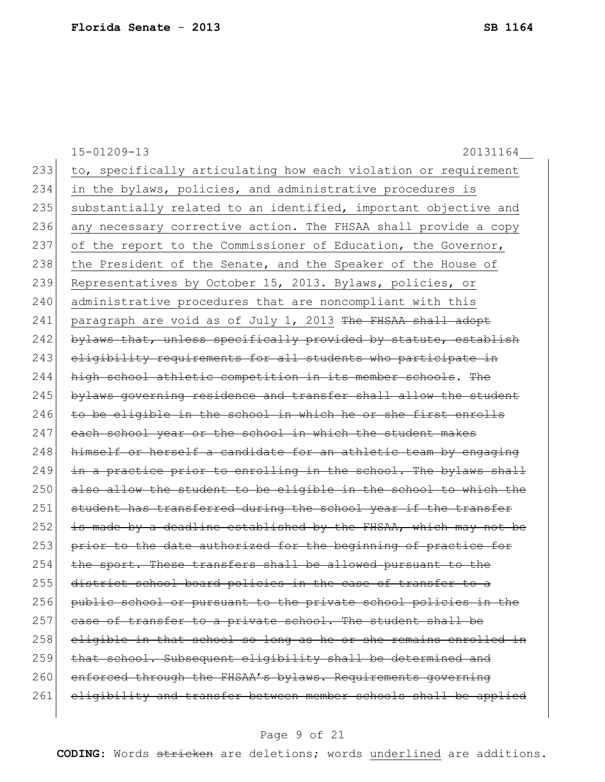15-01209-13 20131164\_\_ 233 to, specifically articulating how each violation or requirement 234 in the bylaws, policies, and administrative procedures is 235 | substantially related to an identified, important objective and 236 any necessary corrective action. The FHSAA shall provide a copy 237 of the report to the Commissioner of Education, the Governor, 238 the President of the Senate, and the Speaker of the House of 239 Representatives by October 15, 2013. Bylaws, policies, or 240 administrative procedures that are noncompliant with this 241 paragraph are void as of July 1, 2013 The FHSAA shall adopt 242 bylaws that, unless specifically provided by statute, establish 243 eligibility requirements for all students who participate in 244 high school athletic competition in its member schools. The 245 bylaws governing residence and transfer shall allow the student  $246$  to be eligible in the school in which he or she first enrolls 247 each school year or the school in which the student makes 248 himself or herself a candidate for an athletic team by engaging  $249$  in a practice prior to enrolling in the school. The bylaws shall 250 also allow the student to be eligible in the school to which the 251 student has transferred during the school year if the transfer 252 is made by a deadline established by the FHSAA, which may not be 253 prior to the date authorized for the beginning of practice for 254 the sport. These transfers shall be allowed pursuant to the 255 district school board policies in the case of transfer to a 256 public school or pursuant to the private school policies in the 257 case of transfer to a private school. The student shall be 258 eligible in that school so long as he or she remains enrolled in 259 that school. Subsequent eligibility shall be determined and 260 enforced through the FHSAA's bylaws. Requirements governing 261 eligibility and transfer between member schools shall be applied

## Page 9 of 21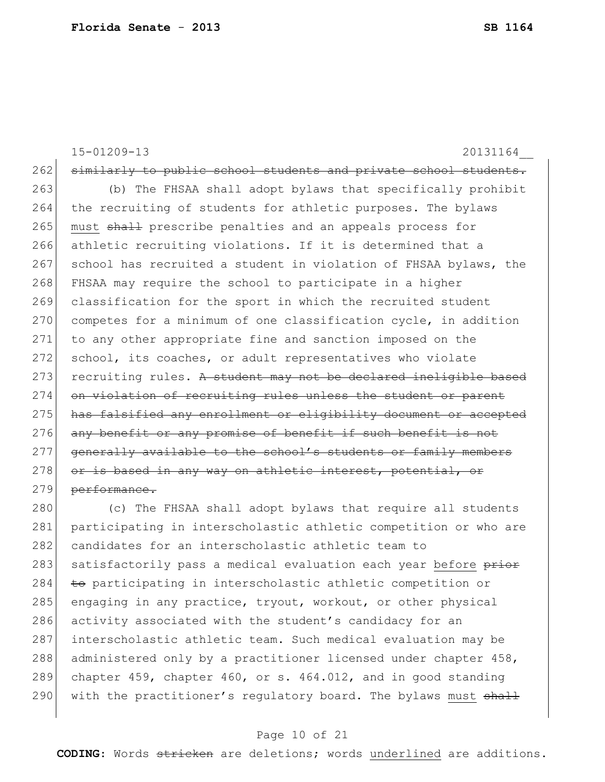|     | $15 - 01209 - 13$<br>20131164                                    |
|-----|------------------------------------------------------------------|
| 262 | similarly to public school students and private school students. |
| 263 | (b) The FHSAA shall adopt bylaws that specifically prohibit      |
| 264 | the recruiting of students for athletic purposes. The bylaws     |
| 265 | must shall prescribe penalties and an appeals process for        |
| 266 | athletic recruiting violations. If it is determined that a       |
| 267 | school has recruited a student in violation of FHSAA bylaws, the |
| 268 | FHSAA may require the school to participate in a higher          |
| 269 | classification for the sport in which the recruited student      |
| 270 | competes for a minimum of one classification cycle, in addition  |
| 271 | to any other appropriate fine and sanction imposed on the        |
| 272 | school, its coaches, or adult representatives who violate        |
| 273 | recruiting rules. A student may not be declared ineligible based |
| 274 | on violation of recruiting rules unless the student or parent    |
| 275 | has falsified any enrollment or eligibility document or accepted |
| 276 | any benefit or any promise of benefit if such benefit is not     |
| 277 | generally available to the school's students or family members   |
| 278 | or is based in any way on athletic interest, potential, or       |
| 279 | performance.                                                     |
| 280 | (c) The FHSAA shall adopt bylaws that require all students       |
|     |                                                                  |

 participating in interscholastic athletic competition or who are 282 candidates for an interscholastic athletic team to 283 satisfactorily pass a medical evaluation each year before prior to participating in interscholastic athletic competition or 285 engaging in any practice, tryout, workout, or other physical 286 activity associated with the student's candidacy for an 287 interscholastic athletic team. Such medical evaluation may be 288 administered only by a practitioner licensed under chapter 458, chapter 459, chapter 460, or s. 464.012, and in good standing 290 with the practitioner's regulatory board. The bylaws must  $shall$ 

## Page 10 of 21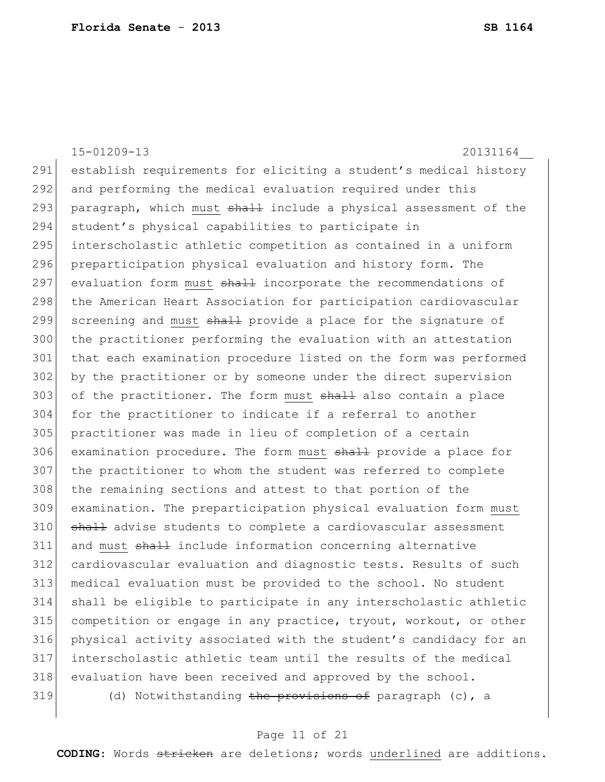15-01209-13 20131164\_\_ 291 establish requirements for eliciting a student's medical history 292 and performing the medical evaluation required under this 293 paragraph, which must shall include a physical assessment of the 294 student's physical capabilities to participate in 295 interscholastic athletic competition as contained in a uniform 296 preparticipation physical evaluation and history form. The 297 evaluation form must shall incorporate the recommendations of 298 the American Heart Association for participation cardiovascular 299 screening and must shall provide a place for the signature of 300 the practitioner performing the evaluation with an attestation 301 that each examination procedure listed on the form was performed 302 by the practitioner or by someone under the direct supervision 303 of the practitioner. The form must shall also contain a place 304 for the practitioner to indicate if a referral to another 305 practitioner was made in lieu of completion of a certain 306 examination procedure. The form must shall provide a place for 307 the practitioner to whom the student was referred to complete 308 the remaining sections and attest to that portion of the 309 examination. The preparticipation physical evaluation form must 310 shall advise students to complete a cardiovascular assessment 311 and must shall include information concerning alternative 312 cardiovascular evaluation and diagnostic tests. Results of such 313 medical evaluation must be provided to the school. No student 314 shall be eligible to participate in any interscholastic athletic 315 competition or engage in any practice, tryout, workout, or other 316 physical activity associated with the student's candidacy for an 317 interscholastic athletic team until the results of the medical 318 evaluation have been received and approved by the school. 319 (d) Notwithstanding the provisions of paragraph (c), a

### Page 11 of 21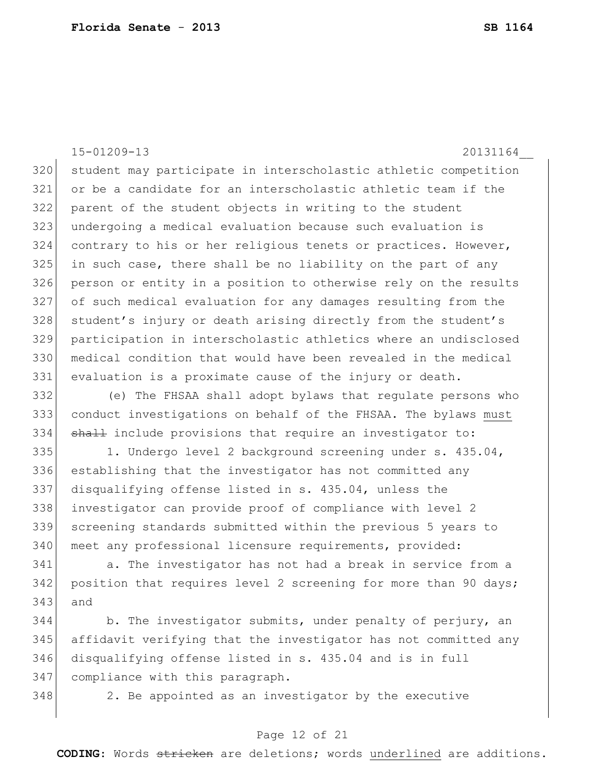15-01209-13 20131164\_\_ student may participate in interscholastic athletic competition or be a candidate for an interscholastic athletic team if the parent of the student objects in writing to the student undergoing a medical evaluation because such evaluation is contrary to his or her religious tenets or practices. However, in such case, there shall be no liability on the part of any person or entity in a position to otherwise rely on the results of such medical evaluation for any damages resulting from the 328 student's injury or death arising directly from the student's participation in interscholastic athletics where an undisclosed medical condition that would have been revealed in the medical evaluation is a proximate cause of the injury or death.

 (e) The FHSAA shall adopt bylaws that regulate persons who conduct investigations on behalf of the FHSAA. The bylaws must 334 shall include provisions that require an investigator to:

335 1. Undergo level 2 background screening under s. 435.04, establishing that the investigator has not committed any disqualifying offense listed in s. 435.04, unless the investigator can provide proof of compliance with level 2 screening standards submitted within the previous 5 years to 340 meet any professional licensure requirements, provided:

 a. The investigator has not had a break in service from a 342 position that requires level 2 screening for more than 90 days; and

344 b. The investigator submits, under penalty of perjury, an affidavit verifying that the investigator has not committed any disqualifying offense listed in s. 435.04 and is in full compliance with this paragraph.

2. Be appointed as an investigator by the executive

## Page 12 of 21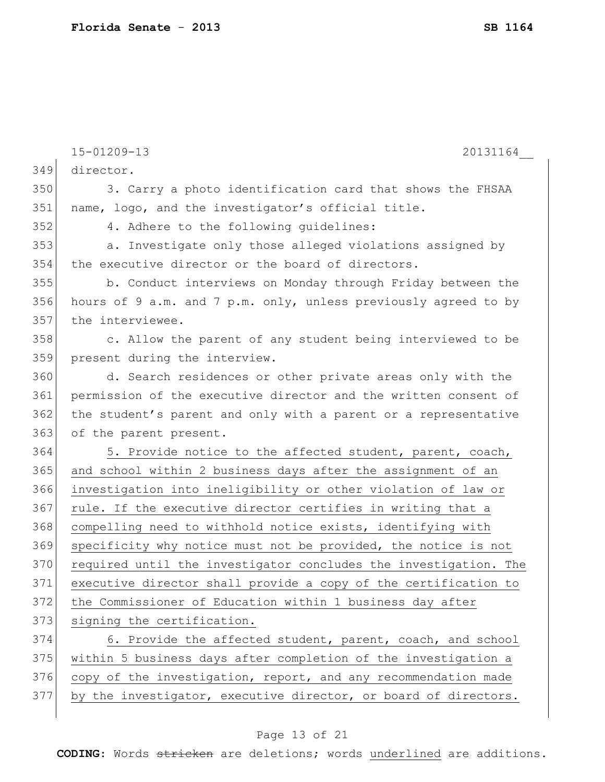|     | $15 - 01209 - 13$<br>20131164                                    |
|-----|------------------------------------------------------------------|
| 349 | director.                                                        |
| 350 | 3. Carry a photo identification card that shows the FHSAA        |
| 351 | name, logo, and the investigator's official title.               |
| 352 | 4. Adhere to the following quidelines:                           |
| 353 | a. Investigate only those alleged violations assigned by         |
| 354 | the executive director or the board of directors.                |
| 355 | b. Conduct interviews on Monday through Friday between the       |
| 356 | hours of 9 a.m. and 7 p.m. only, unless previously agreed to by  |
| 357 | the interviewee.                                                 |
| 358 | c. Allow the parent of any student being interviewed to be       |
| 359 | present during the interview.                                    |
| 360 | d. Search residences or other private areas only with the        |
| 361 | permission of the executive director and the written consent of  |
| 362 | the student's parent and only with a parent or a representative  |
| 363 | of the parent present.                                           |
| 364 | 5. Provide notice to the affected student, parent, coach,        |
| 365 | and school within 2 business days after the assignment of an     |
| 366 | investigation into ineligibility or other violation of law or    |
| 367 | rule. If the executive director certifies in writing that a      |
| 368 | compelling need to withhold notice exists, identifying with      |
| 369 | specificity why notice must not be provided, the notice is not   |
| 370 | required until the investigator concludes the investigation. The |
| 371 | executive director shall provide a copy of the certification to  |
| 372 | the Commissioner of Education within 1 business day after        |
| 373 | signing the certification.                                       |
| 374 | 6. Provide the affected student, parent, coach, and school       |
| 375 | within 5 business days after completion of the investigation a   |
| 376 | copy of the investigation, report, and any recommendation made   |
| 377 | by the investigator, executive director, or board of directors.  |

# Page 13 of 21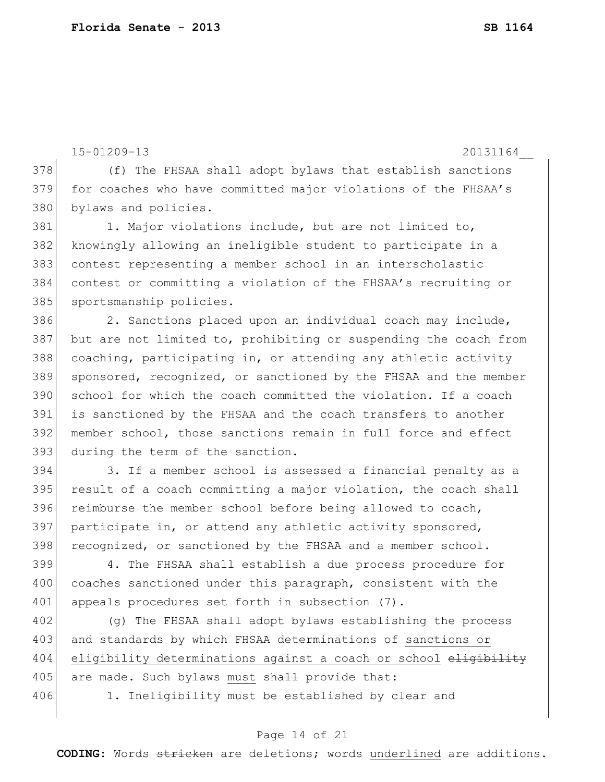```
15-01209-13 20131164__
```
378 (f) The FHSAA shall adopt bylaws that establish sanctions 379 for coaches who have committed major violations of the FHSAA's 380 bylaws and policies.

381 1. Major violations include, but are not limited to, 382 knowingly allowing an ineligible student to participate in a 383 contest representing a member school in an interscholastic 384 contest or committing a violation of the FHSAA's recruiting or 385 sportsmanship policies.

386 2. Sanctions placed upon an individual coach may include, 387 but are not limited to, prohibiting or suspending the coach from 388 coaching, participating in, or attending any athletic activity 389 sponsored, recognized, or sanctioned by the FHSAA and the member 390 school for which the coach committed the violation. If a coach 391 is sanctioned by the FHSAA and the coach transfers to another 392 member school, those sanctions remain in full force and effect 393 during the term of the sanction.

394 3. If a member school is assessed a financial penalty as a 395 result of a coach committing a major violation, the coach shall 396 reimburse the member school before being allowed to coach, 397 participate in, or attend any athletic activity sponsored, 398 recognized, or sanctioned by the FHSAA and a member school.

399 4. The FHSAA shall establish a due process procedure for 400 coaches sanctioned under this paragraph, consistent with the 401 appeals procedures set forth in subsection (7).

402 (g) The FHSAA shall adopt bylaws establishing the process 403 and standards by which FHSAA determinations of sanctions or 404 eligibility determinations against a coach or school eligibility 405 are made. Such bylaws must shall provide that:

406 1. Ineligibility must be established by clear and

## Page 14 of 21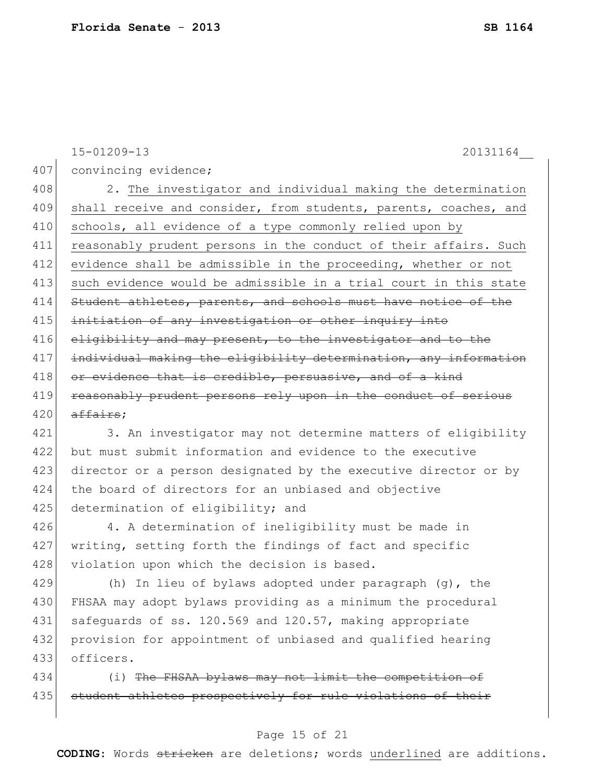15-01209-13 20131164\_\_ 407 convincing evidence; 408 2. The investigator and individual making the determination 409 shall receive and consider, from students, parents, coaches, and 410 schools, all evidence of a type commonly relied upon by 411 reasonably prudent persons in the conduct of their affairs. Such 412 evidence shall be admissible in the proceeding, whether or not 413 such evidence would be admissible in a trial court in this state 414 Student athletes, parents, and schools must have notice of the 415 initiation of any investigation or other inquiry into 416 eligibility and may present, to the investigator and to the 417 individual making the eligibility determination, any information 418 or evidence that is credible, persuasive, and of a kind 419 reasonably prudent persons rely upon in the conduct of serious  $420$  affairs; 421 3. An investigator may not determine matters of eligibility

 but must submit information and evidence to the executive director or a person designated by the executive director or by the board of directors for an unbiased and objective 425 determination of eligibility; and

426 4. A determination of ineligibility must be made in 427 writing, setting forth the findings of fact and specific 428 violation upon which the decision is based.

429 (h) In lieu of bylaws adopted under paragraph (g), the 430 FHSAA may adopt bylaws providing as a minimum the procedural 431 safeguards of ss. 120.569 and 120.57, making appropriate 432 provision for appointment of unbiased and qualified hearing 433 officers.

434 (i) The FHSAA bylaws may not limit the competition of 435 student athletes prospectively for rule violations of their

## Page 15 of 21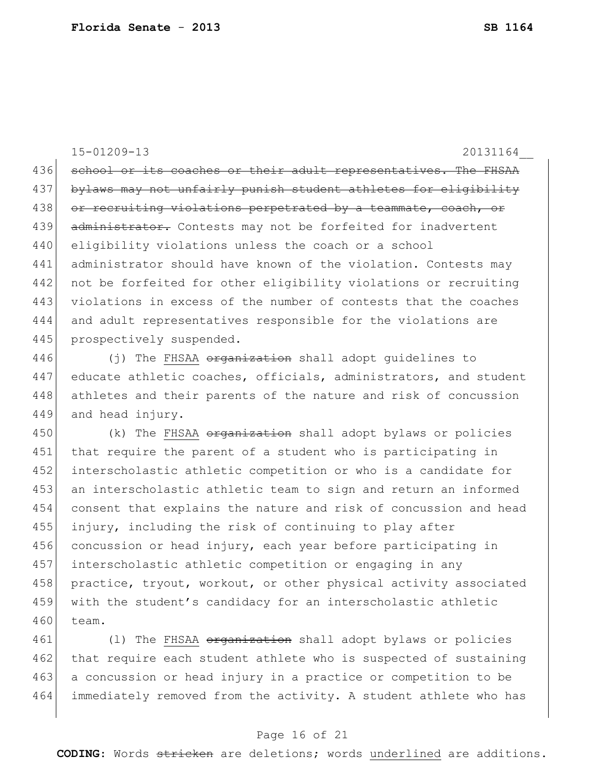15-01209-13 20131164\_\_ 436 school or its coaches or their adult representatives. The FHSAA 437 bylaws may not unfairly punish student athletes for eligibility 438 or recruiting violations perpetrated by a teammate, coach, or 439 administrator. Contests may not be forfeited for inadvertent 440 eligibility violations unless the coach or a school 441 administrator should have known of the violation. Contests may 442 not be forfeited for other eligibility violations or recruiting 443 violations in excess of the number of contests that the coaches 444 and adult representatives responsible for the violations are 445 prospectively suspended. 446 (j) The FHSAA organization shall adopt guidelines to 447 educate athletic coaches, officials, administrators, and student 448 athletes and their parents of the nature and risk of concussion 449 and head injury. 450 (k) The FHSAA <del>organization</del> shall adopt bylaws or policies 451 that require the parent of a student who is participating in 452 interscholastic athletic competition or who is a candidate for 453 an interscholastic athletic team to sign and return an informed 454 consent that explains the nature and risk of concussion and head 455 injury, including the risk of continuing to play after 456 concussion or head injury, each year before participating in 457 interscholastic athletic competition or engaging in any

458 practice, tryout, workout, or other physical activity associated 459 with the student's candidacy for an interscholastic athletic 460 team.

461 (1) The FHSAA organization shall adopt bylaws or policies 462 that require each student athlete who is suspected of sustaining 463 a concussion or head injury in a practice or competition to be 464 immediately removed from the activity. A student athlete who has

## Page 16 of 21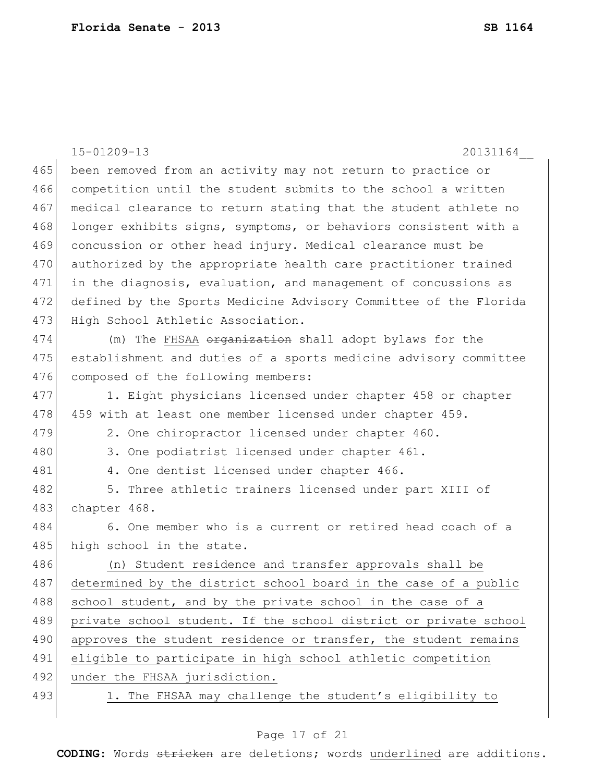15-01209-13 20131164\_\_ 465 been removed from an activity may not return to practice or 466 competition until the student submits to the school a written 467 medical clearance to return stating that the student athlete no 468 longer exhibits signs, symptoms, or behaviors consistent with a 469 concussion or other head injury. Medical clearance must be 470 authorized by the appropriate health care practitioner trained 471 in the diagnosis, evaluation, and management of concussions as 472 defined by the Sports Medicine Advisory Committee of the Florida 473 High School Athletic Association. 474 (m) The FHSAA <del>organization</del> shall adopt bylaws for the 475 establishment and duties of a sports medicine advisory committee 476 composed of the following members: 477 1. Eight physicians licensed under chapter 458 or chapter 478 459 with at least one member licensed under chapter 459. 479 2. One chiropractor licensed under chapter 460. 480 3. One podiatrist licensed under chapter 461. 481 4. One dentist licensed under chapter 466. 482 5. Three athletic trainers licensed under part XIII of 483 chapter 468. 484 6. One member who is a current or retired head coach of a 485 high school in the state. 486 (n) Student residence and transfer approvals shall be 487 determined by the district school board in the case of a public 488 school student, and by the private school in the case of a 489 private school student. If the school district or private school 490 approves the student residence or transfer, the student remains 491 eligible to participate in high school athletic competition 492 under the FHSAA jurisdiction. 493 1. The FHSAA may challenge the student's eligibility to

## Page 17 of 21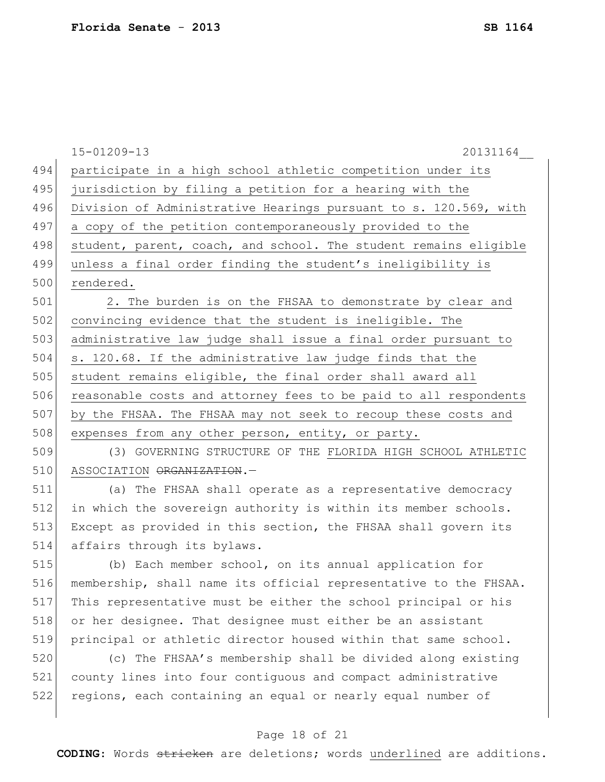|     | $15 - 01209 - 13$<br>20131164                                    |
|-----|------------------------------------------------------------------|
| 494 | participate in a high school athletic competition under its      |
| 495 | jurisdiction by filing a petition for a hearing with the         |
| 496 | Division of Administrative Hearings pursuant to s. 120.569, with |
| 497 | a copy of the petition contemporaneously provided to the         |
| 498 | student, parent, coach, and school. The student remains eligible |
| 499 | unless a final order finding the student's ineligibility is      |
| 500 | rendered.                                                        |
| 501 | 2. The burden is on the FHSAA to demonstrate by clear and        |
| 502 | convincing evidence that the student is ineligible. The          |
| 503 | administrative law judge shall issue a final order pursuant to   |
| 504 | s. 120.68. If the administrative law judge finds that the        |
| 505 | student remains eligible, the final order shall award all        |
| 506 | reasonable costs and attorney fees to be paid to all respondents |
| 507 | by the FHSAA. The FHSAA may not seek to recoup these costs and   |
| 508 | expenses from any other person, entity, or party.                |
| 509 | (3) GOVERNING STRUCTURE OF THE FLORIDA HIGH SCHOOL ATHLETIC      |
| 510 | ASSOCIATION ORGANIZATION.-                                       |
| 511 | (a) The FHSAA shall operate as a representative democracy        |
| 512 | in which the sovereign authority is within its member schools.   |
| 513 | Except as provided in this section, the FHSAA shall govern its   |
| 514 | affairs through its bylaws.                                      |
| 515 | (b) Each member school, on its annual application for            |
| 516 | membership, shall name its official representative to the FHSAA. |
| 517 | This representative must be either the school principal or his   |
| 518 | or her designee. That designee must either be an assistant       |
| 519 | principal or athletic director housed within that same school.   |
| 520 | (c) The FHSAA's membership shall be divided along existing       |
| 521 | county lines into four contiquous and compact administrative     |
| 522 | regions, each containing an equal or nearly equal number of      |
|     |                                                                  |

# Page 18 of 21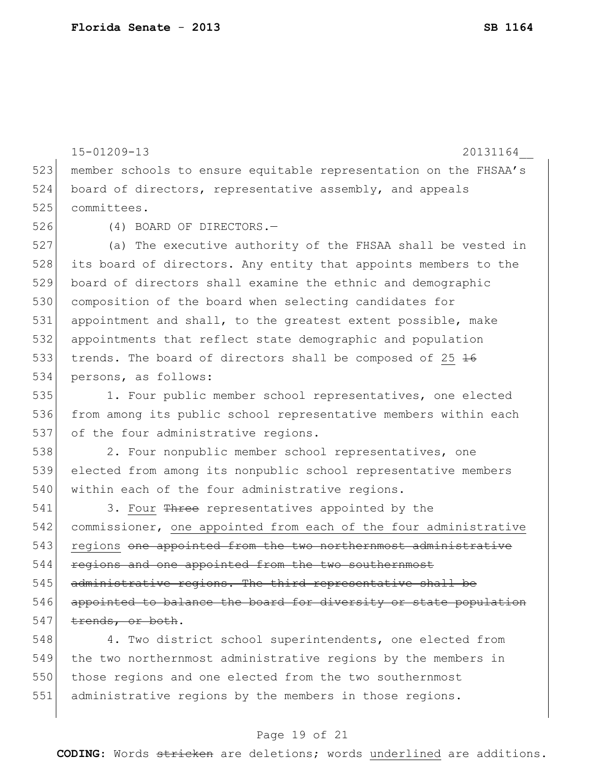15-01209-13 20131164\_\_ 523 member schools to ensure equitable representation on the FHSAA's 524 board of directors, representative assembly, and appeals 525 committees. 526 (4) BOARD OF DIRECTORS.— 527 (a) The executive authority of the FHSAA shall be vested in 528 its board of directors. Any entity that appoints members to the 529 board of directors shall examine the ethnic and demographic 530 composition of the board when selecting candidates for 531 appointment and shall, to the greatest extent possible, make 532 appointments that reflect state demographic and population 533 trends. The board of directors shall be composed of 25  $\frac{16}{16}$ 534 persons, as follows: 535 1. Four public member school representatives, one elected 536 from among its public school representative members within each 537 of the four administrative regions. 538 2. Four nonpublic member school representatives, one 539 elected from among its nonpublic school representative members 540 within each of the four administrative regions. 541 3. Four Three representatives appointed by the 542 commissioner, one appointed from each of the four administrative 543 regions one appointed from the two northernmost administrative 544 regions and one appointed from the two southernmost 545 administrative regions. The third representative shall be 546 appointed to balance the board for diversity or state population 547 trends, or both. 548 4. Two district school superintendents, one elected from 549 the two northernmost administrative regions by the members in

550 those regions and one elected from the two southernmost 551 administrative regions by the members in those regions.

## Page 19 of 21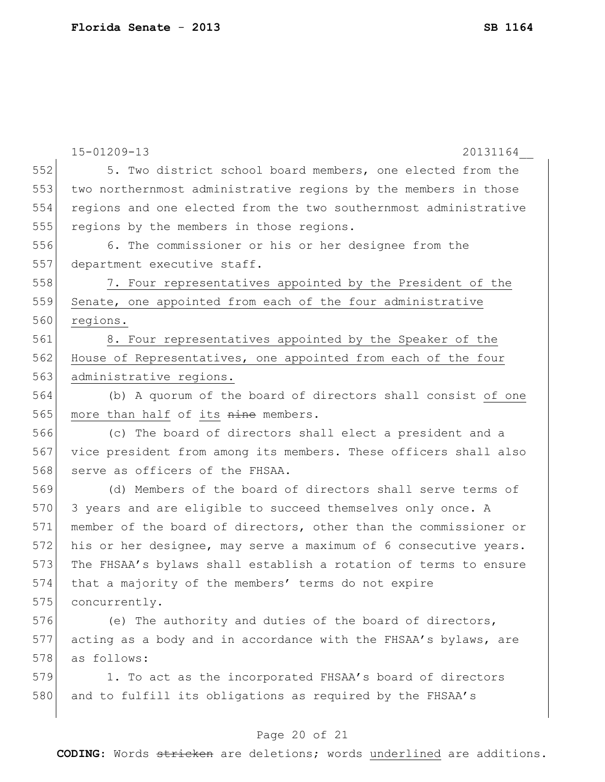|     | 15-01209-13<br>20131164                                          |
|-----|------------------------------------------------------------------|
| 552 | 5. Two district school board members, one elected from the       |
| 553 | two northernmost administrative regions by the members in those  |
| 554 | regions and one elected from the two southernmost administrative |
| 555 | regions by the members in those regions.                         |
| 556 | 6. The commissioner or his or her designee from the              |
| 557 | department executive staff.                                      |
| 558 | 7. Four representatives appointed by the President of the        |
| 559 | Senate, one appointed from each of the four administrative       |
| 560 | regions.                                                         |
| 561 | 8. Four representatives appointed by the Speaker of the          |
| 562 | House of Representatives, one appointed from each of the four    |
| 563 | administrative regions.                                          |
| 564 | (b) A quorum of the board of directors shall consist of one      |
| 565 | more than half of its nine members.                              |
| 566 | (c) The board of directors shall elect a president and a         |
| 567 | vice president from among its members. These officers shall also |
| 568 | serve as officers of the FHSAA.                                  |
| 569 | (d) Members of the board of directors shall serve terms of       |
| 570 | 3 years and are eligible to succeed themselves only once. A      |
| 571 | member of the board of directors, other than the commissioner or |
| 572 | his or her designee, may serve a maximum of 6 consecutive years. |
| 573 | The FHSAA's bylaws shall establish a rotation of terms to ensure |
| 574 | that a majority of the members' terms do not expire              |
| 575 | concurrently.                                                    |
| 576 | (e) The authority and duties of the board of directors,          |
| 577 | acting as a body and in accordance with the FHSAA's bylaws, are  |
| 578 | as follows:                                                      |
| 579 | 1. To act as the incorporated FHSAA's board of directors         |
| 580 | and to fulfill its obligations as required by the FHSAA's        |
|     |                                                                  |

# Page 20 of 21